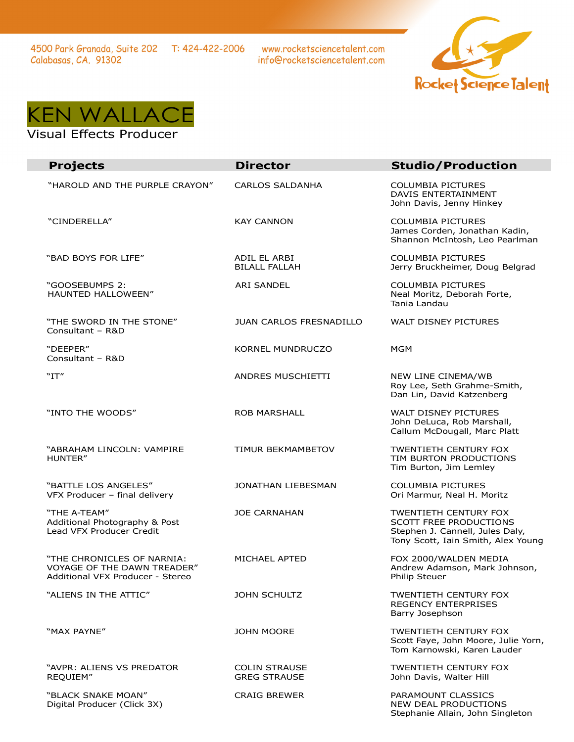www.rocketsciencetalent.com info@rocketsciencetalent.com





## Visual Effects Producer

| <b>Projects</b>                                                                               | <b>Director</b>                             | <b>Studio/Production</b>                                                                                                        |
|-----------------------------------------------------------------------------------------------|---------------------------------------------|---------------------------------------------------------------------------------------------------------------------------------|
| "HAROLD AND THE PURPLE CRAYON"                                                                | <b>CARLOS SALDANHA</b>                      | <b>COLUMBIA PICTURES</b><br>DAVIS ENTERTAINMENT<br>John Davis, Jenny Hinkey                                                     |
| "CINDERELLA"                                                                                  | <b>KAY CANNON</b>                           | <b>COLUMBIA PICTURES</b><br>James Corden, Jonathan Kadin,<br>Shannon McIntosh, Leo Pearlman                                     |
| "BAD BOYS FOR LIFE"                                                                           | ADIL EL ARBI<br><b>BILALL FALLAH</b>        | <b>COLUMBIA PICTURES</b><br>Jerry Bruckheimer, Doug Belgrad                                                                     |
| "GOOSEBUMPS 2:<br><b>HAUNTED HALLOWEEN"</b>                                                   | ARI SANDEL                                  | <b>COLUMBIA PICTURES</b><br>Neal Moritz, Deborah Forte,<br>Tania Landau                                                         |
| "THE SWORD IN THE STONE"<br>Consultant - R&D                                                  | <b>JUAN CARLOS FRESNADILLO</b>              | WALT DISNEY PICTURES                                                                                                            |
| "DEEPER"<br>Consultant - R&D                                                                  | <b>KORNEL MUNDRUCZO</b>                     | <b>MGM</b>                                                                                                                      |
| "IT"                                                                                          | ANDRES MUSCHIETTI                           | NEW LINE CINEMA/WB<br>Roy Lee, Seth Grahme-Smith,<br>Dan Lin, David Katzenberg                                                  |
| "INTO THE WOODS"                                                                              | <b>ROB MARSHALL</b>                         | WALT DISNEY PICTURES<br>John DeLuca, Rob Marshall,<br>Callum McDougall, Marc Platt                                              |
| "ABRAHAM LINCOLN: VAMPIRE<br>HUNTER"                                                          | <b>TIMUR BEKMAMBETOV</b>                    | <b>TWENTIETH CENTURY FOX</b><br>TIM BURTON PRODUCTIONS<br>Tim Burton, Jim Lemley                                                |
| "BATTLE LOS ANGELES"<br>VFX Producer - final delivery                                         | JONATHAN LIEBESMAN                          | <b>COLUMBIA PICTURES</b><br>Ori Marmur, Neal H. Moritz                                                                          |
| "THE A-TEAM"<br>Additional Photography & Post<br>Lead VFX Producer Credit                     | <b>JOE CARNAHAN</b>                         | <b>TWENTIETH CENTURY FOX</b><br>SCOTT FREE PRODUCTIONS<br>Stephen J. Cannell, Jules Daly,<br>Tony Scott, Iain Smith, Alex Young |
| "THE CHRONICLES OF NARNIA:<br>VOYAGE OF THE DAWN TREADER"<br>Additional VFX Producer - Stereo | MICHAEL APTED                               | FOX 2000/WALDEN MEDIA<br>Andrew Adamson, Mark Johnson,<br>Philip Steuer                                                         |
| "ALIENS IN THE ATTIC"                                                                         | <b>JOHN SCHULTZ</b>                         | <b>TWENTIETH CENTURY FOX</b><br><b>REGENCY ENTERPRISES</b><br>Barry Josephson                                                   |
| "MAX PAYNE"                                                                                   | <b>JOHN MOORE</b>                           | <b>TWENTIETH CENTURY FOX</b><br>Scott Faye, John Moore, Julie Yorn,<br>Tom Karnowski, Karen Lauder                              |
| "AVPR: ALIENS VS PREDATOR<br>REQUIEM"                                                         | <b>COLIN STRAUSE</b><br><b>GREG STRAUSE</b> | <b>TWENTIETH CENTURY FOX</b><br>John Davis, Walter Hill                                                                         |
| "BLACK SNAKE MOAN"<br>Digital Producer (Click 3X)                                             | <b>CRAIG BREWER</b>                         | PARAMOUNT CLASSICS<br>NEW DEAL PRODUCTIONS<br>Stephanie Allain, John Singleton                                                  |